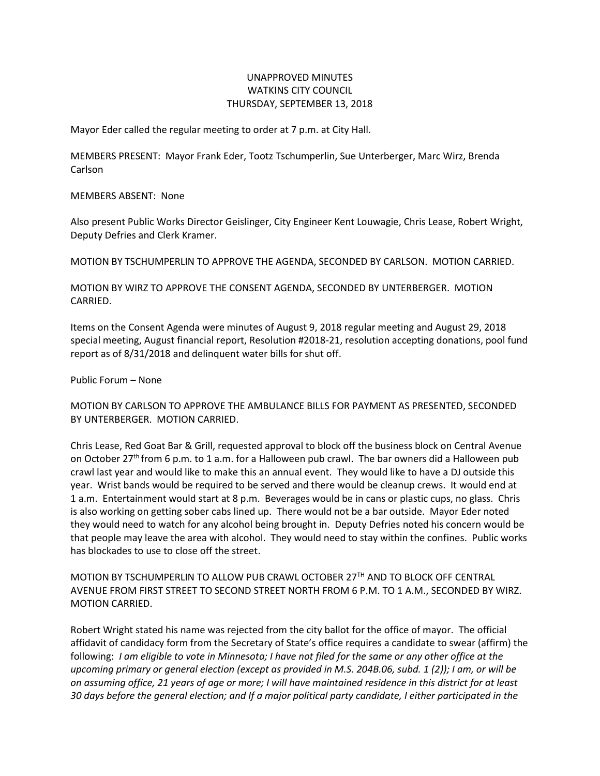## UNAPPROVED MINUTES WATKINS CITY COUNCIL THURSDAY, SEPTEMBER 13, 2018

Mayor Eder called the regular meeting to order at 7 p.m. at City Hall.

MEMBERS PRESENT: Mayor Frank Eder, Tootz Tschumperlin, Sue Unterberger, Marc Wirz, Brenda Carlson

MEMBERS ABSENT: None

Also present Public Works Director Geislinger, City Engineer Kent Louwagie, Chris Lease, Robert Wright, Deputy Defries and Clerk Kramer.

MOTION BY TSCHUMPERLIN TO APPROVE THE AGENDA, SECONDED BY CARLSON. MOTION CARRIED.

MOTION BY WIRZ TO APPROVE THE CONSENT AGENDA, SECONDED BY UNTERBERGER. MOTION CARRIED.

Items on the Consent Agenda were minutes of August 9, 2018 regular meeting and August 29, 2018 special meeting, August financial report, Resolution #2018-21, resolution accepting donations, pool fund report as of 8/31/2018 and delinquent water bills for shut off.

Public Forum – None

MOTION BY CARLSON TO APPROVE THE AMBULANCE BILLS FOR PAYMENT AS PRESENTED, SECONDED BY UNTERBERGER. MOTION CARRIED.

Chris Lease, Red Goat Bar & Grill, requested approval to block off the business block on Central Avenue on October 27<sup>th</sup> from 6 p.m. to 1 a.m. for a Halloween pub crawl. The bar owners did a Halloween pub crawl last year and would like to make this an annual event. They would like to have a DJ outside this year. Wrist bands would be required to be served and there would be cleanup crews. It would end at 1 a.m. Entertainment would start at 8 p.m. Beverages would be in cans or plastic cups, no glass. Chris is also working on getting sober cabs lined up. There would not be a bar outside. Mayor Eder noted they would need to watch for any alcohol being brought in. Deputy Defries noted his concern would be that people may leave the area with alcohol. They would need to stay within the confines. Public works has blockades to use to close off the street.

MOTION BY TSCHUMPERLIN TO ALLOW PUB CRAWL OCTOBER 27TH AND TO BLOCK OFF CENTRAL AVENUE FROM FIRST STREET TO SECOND STREET NORTH FROM 6 P.M. TO 1 A.M., SECONDED BY WIRZ. MOTION CARRIED.

Robert Wright stated his name was rejected from the city ballot for the office of mayor. The official affidavit of candidacy form from the Secretary of State's office requires a candidate to swear (affirm) the following: *I am eligible to vote in Minnesota; I have not filed for the same or any other office at the upcoming primary or general election (except as provided in M.S. 204B.06, subd. 1 (2)); I am, or will be on assuming office, 21 years of age or more; I will have maintained residence in this district for at least 30 days before the general election; and If a major political party candidate, I either participated in the*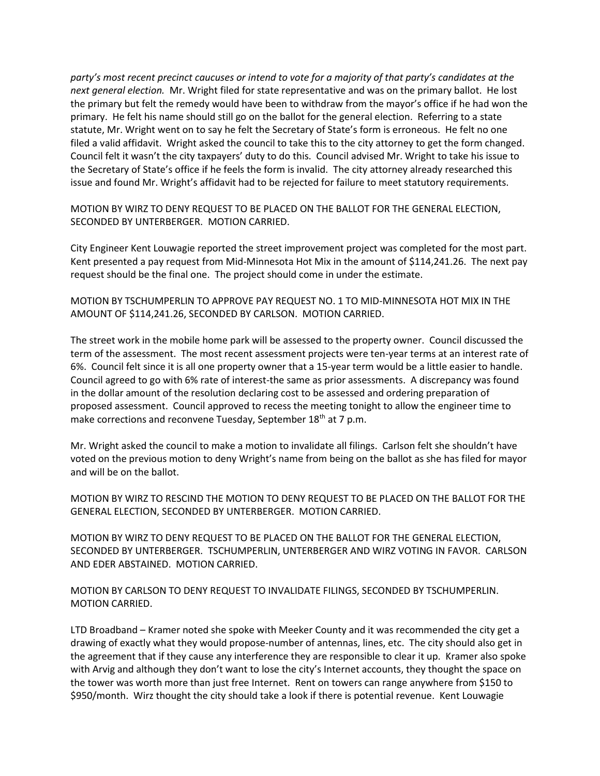*party's most recent precinct caucuses or intend to vote for a majority of that party's candidates at the next general election.* Mr. Wright filed for state representative and was on the primary ballot. He lost the primary but felt the remedy would have been to withdraw from the mayor's office if he had won the primary. He felt his name should still go on the ballot for the general election. Referring to a state statute, Mr. Wright went on to say he felt the Secretary of State's form is erroneous. He felt no one filed a valid affidavit. Wright asked the council to take this to the city attorney to get the form changed. Council felt it wasn't the city taxpayers' duty to do this. Council advised Mr. Wright to take his issue to the Secretary of State's office if he feels the form is invalid. The city attorney already researched this issue and found Mr. Wright's affidavit had to be rejected for failure to meet statutory requirements.

MOTION BY WIRZ TO DENY REQUEST TO BE PLACED ON THE BALLOT FOR THE GENERAL ELECTION, SECONDED BY UNTERBERGER. MOTION CARRIED.

City Engineer Kent Louwagie reported the street improvement project was completed for the most part. Kent presented a pay request from Mid-Minnesota Hot Mix in the amount of \$114,241.26. The next pay request should be the final one. The project should come in under the estimate.

MOTION BY TSCHUMPERLIN TO APPROVE PAY REQUEST NO. 1 TO MID-MINNESOTA HOT MIX IN THE AMOUNT OF \$114,241.26, SECONDED BY CARLSON. MOTION CARRIED.

The street work in the mobile home park will be assessed to the property owner. Council discussed the term of the assessment. The most recent assessment projects were ten-year terms at an interest rate of 6%. Council felt since it is all one property owner that a 15-year term would be a little easier to handle. Council agreed to go with 6% rate of interest-the same as prior assessments. A discrepancy was found in the dollar amount of the resolution declaring cost to be assessed and ordering preparation of proposed assessment. Council approved to recess the meeting tonight to allow the engineer time to make corrections and reconvene Tuesday, September 18<sup>th</sup> at 7 p.m.

Mr. Wright asked the council to make a motion to invalidate all filings. Carlson felt she shouldn't have voted on the previous motion to deny Wright's name from being on the ballot as she has filed for mayor and will be on the ballot.

MOTION BY WIRZ TO RESCIND THE MOTION TO DENY REQUEST TO BE PLACED ON THE BALLOT FOR THE GENERAL ELECTION, SECONDED BY UNTERBERGER. MOTION CARRIED.

MOTION BY WIRZ TO DENY REQUEST TO BE PLACED ON THE BALLOT FOR THE GENERAL ELECTION, SECONDED BY UNTERBERGER. TSCHUMPERLIN, UNTERBERGER AND WIRZ VOTING IN FAVOR. CARLSON AND EDER ABSTAINED. MOTION CARRIED.

MOTION BY CARLSON TO DENY REQUEST TO INVALIDATE FILINGS, SECONDED BY TSCHUMPERLIN. MOTION CARRIED.

LTD Broadband – Kramer noted she spoke with Meeker County and it was recommended the city get a drawing of exactly what they would propose-number of antennas, lines, etc. The city should also get in the agreement that if they cause any interference they are responsible to clear it up. Kramer also spoke with Arvig and although they don't want to lose the city's Internet accounts, they thought the space on the tower was worth more than just free Internet. Rent on towers can range anywhere from \$150 to \$950/month. Wirz thought the city should take a look if there is potential revenue. Kent Louwagie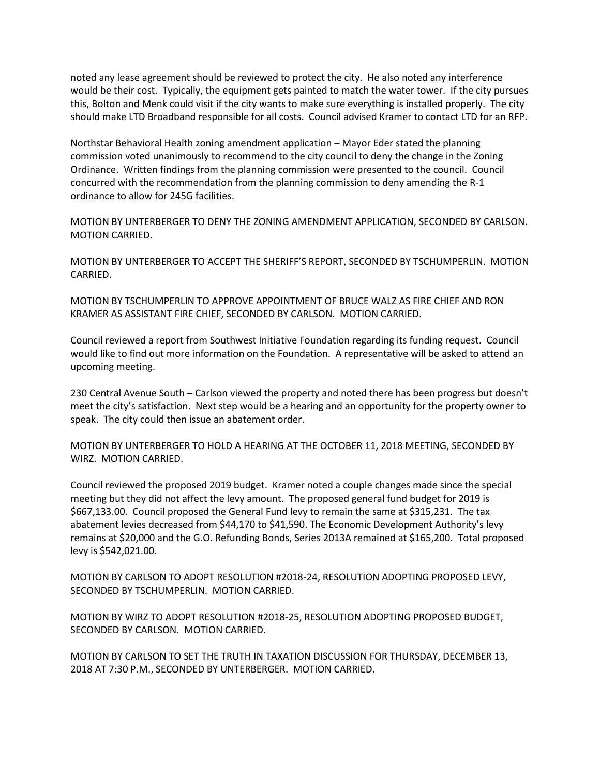noted any lease agreement should be reviewed to protect the city. He also noted any interference would be their cost. Typically, the equipment gets painted to match the water tower. If the city pursues this, Bolton and Menk could visit if the city wants to make sure everything is installed properly. The city should make LTD Broadband responsible for all costs. Council advised Kramer to contact LTD for an RFP.

Northstar Behavioral Health zoning amendment application – Mayor Eder stated the planning commission voted unanimously to recommend to the city council to deny the change in the Zoning Ordinance. Written findings from the planning commission were presented to the council. Council concurred with the recommendation from the planning commission to deny amending the R-1 ordinance to allow for 245G facilities.

MOTION BY UNTERBERGER TO DENY THE ZONING AMENDMENT APPLICATION, SECONDED BY CARLSON. MOTION CARRIED.

MOTION BY UNTERBERGER TO ACCEPT THE SHERIFF'S REPORT, SECONDED BY TSCHUMPERLIN. MOTION CARRIED.

MOTION BY TSCHUMPERLIN TO APPROVE APPOINTMENT OF BRUCE WALZ AS FIRE CHIEF AND RON KRAMER AS ASSISTANT FIRE CHIEF, SECONDED BY CARLSON. MOTION CARRIED.

Council reviewed a report from Southwest Initiative Foundation regarding its funding request. Council would like to find out more information on the Foundation. A representative will be asked to attend an upcoming meeting.

230 Central Avenue South – Carlson viewed the property and noted there has been progress but doesn't meet the city's satisfaction. Next step would be a hearing and an opportunity for the property owner to speak. The city could then issue an abatement order.

MOTION BY UNTERBERGER TO HOLD A HEARING AT THE OCTOBER 11, 2018 MEETING, SECONDED BY WIRZ. MOTION CARRIED.

Council reviewed the proposed 2019 budget. Kramer noted a couple changes made since the special meeting but they did not affect the levy amount. The proposed general fund budget for 2019 is \$667,133.00. Council proposed the General Fund levy to remain the same at \$315,231. The tax abatement levies decreased from \$44,170 to \$41,590. The Economic Development Authority's levy remains at \$20,000 and the G.O. Refunding Bonds, Series 2013A remained at \$165,200. Total proposed levy is \$542,021.00.

MOTION BY CARLSON TO ADOPT RESOLUTION #2018-24, RESOLUTION ADOPTING PROPOSED LEVY, SECONDED BY TSCHUMPERLIN. MOTION CARRIED.

MOTION BY WIRZ TO ADOPT RESOLUTION #2018-25, RESOLUTION ADOPTING PROPOSED BUDGET, SECONDED BY CARLSON. MOTION CARRIED.

MOTION BY CARLSON TO SET THE TRUTH IN TAXATION DISCUSSION FOR THURSDAY, DECEMBER 13, 2018 AT 7:30 P.M., SECONDED BY UNTERBERGER. MOTION CARRIED.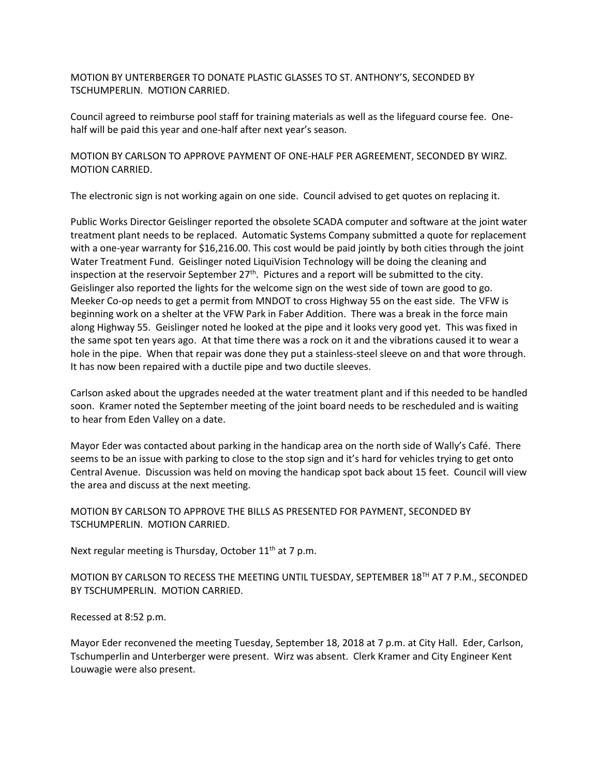MOTION BY UNTERBERGER TO DONATE PLASTIC GLASSES TO ST. ANTHONY'S, SECONDED BY TSCHUMPERLIN. MOTION CARRIED.

Council agreed to reimburse pool staff for training materials as well as the lifeguard course fee. Onehalf will be paid this year and one-half after next year's season.

MOTION BY CARLSON TO APPROVE PAYMENT OF ONE-HALF PER AGREEMENT, SECONDED BY WIRZ. MOTION CARRIED.

The electronic sign is not working again on one side. Council advised to get quotes on replacing it.

Public Works Director Geislinger reported the obsolete SCADA computer and software at the joint water treatment plant needs to be replaced. Automatic Systems Company submitted a quote for replacement with a one-year warranty for \$16,216.00. This cost would be paid jointly by both cities through the joint Water Treatment Fund. Geislinger noted LiquiVision Technology will be doing the cleaning and inspection at the reservoir September  $27<sup>th</sup>$ . Pictures and a report will be submitted to the city. Geislinger also reported the lights for the welcome sign on the west side of town are good to go. Meeker Co-op needs to get a permit from MNDOT to cross Highway 55 on the east side. The VFW is beginning work on a shelter at the VFW Park in Faber Addition. There was a break in the force main along Highway 55. Geislinger noted he looked at the pipe and it looks very good yet. This was fixed in the same spot ten years ago. At that time there was a rock on it and the vibrations caused it to wear a hole in the pipe. When that repair was done they put a stainless-steel sleeve on and that wore through. It has now been repaired with a ductile pipe and two ductile sleeves.

Carlson asked about the upgrades needed at the water treatment plant and if this needed to be handled soon. Kramer noted the September meeting of the joint board needs to be rescheduled and is waiting to hear from Eden Valley on a date.

Mayor Eder was contacted about parking in the handicap area on the north side of Wally's Café. There seems to be an issue with parking to close to the stop sign and it's hard for vehicles trying to get onto Central Avenue. Discussion was held on moving the handicap spot back about 15 feet. Council will view the area and discuss at the next meeting.

MOTION BY CARLSON TO APPROVE THE BILLS AS PRESENTED FOR PAYMENT, SECONDED BY TSCHUMPERLIN. MOTION CARRIED.

Next regular meeting is Thursday, October  $11<sup>th</sup>$  at 7 p.m.

MOTION BY CARLSON TO RECESS THE MEETING UNTIL TUESDAY, SEPTEMBER 18TH AT 7 P.M., SECONDED BY TSCHUMPERLIN. MOTION CARRIED.

Recessed at 8:52 p.m.

Mayor Eder reconvened the meeting Tuesday, September 18, 2018 at 7 p.m. at City Hall. Eder, Carlson, Tschumperlin and Unterberger were present. Wirz was absent. Clerk Kramer and City Engineer Kent Louwagie were also present.